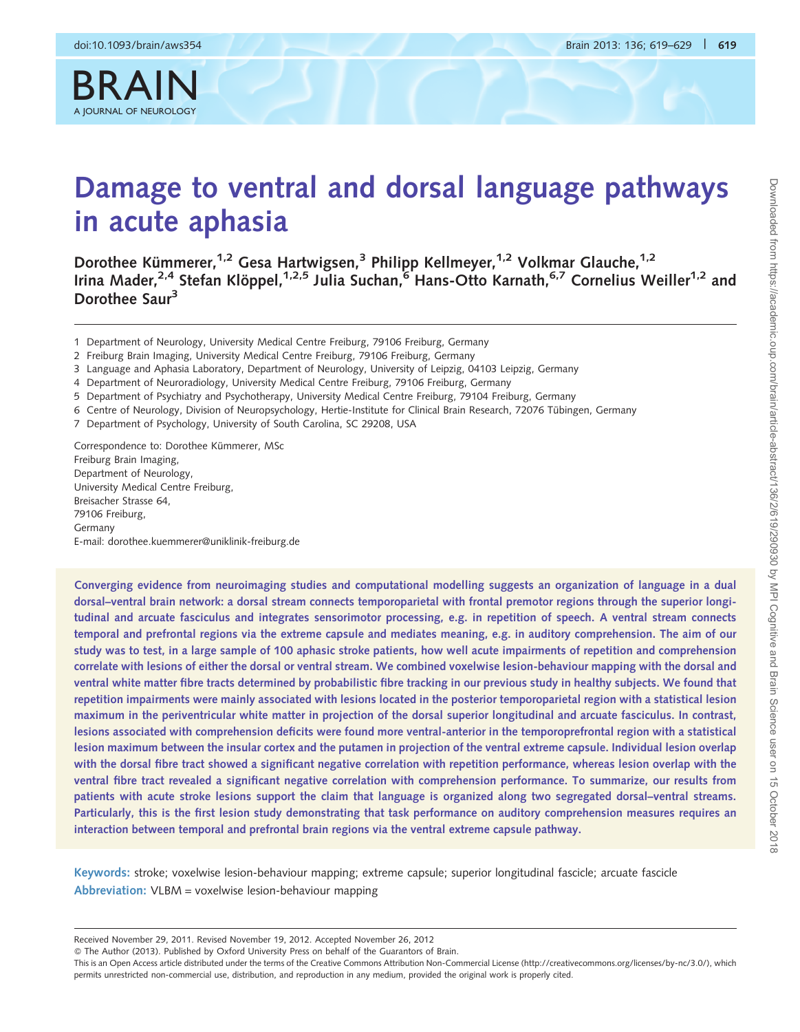BRAIN

# Damage to ventral and dorsal language pathways in acute aphasia

Dorothee Kümmerer,<sup>1,2</sup> Gesa Hartwigsen,<sup>3</sup> Philipp Kellmeyer,<sup>1,2</sup> Volkmar Glauche,<sup>1,2</sup> Irina Mader,<sup>2,4</sup> Stefan Klöppel,<sup>1,2,5</sup> Julia Suchan,<sup>6</sup> Hans-Otto Karnath,<sup>6,7</sup> Cornelius Weiller<sup>1,2</sup> and Dorothee Saur<sup>3</sup>

- 1 Department of Neurology, University Medical Centre Freiburg, 79106 Freiburg, Germany
- 2 Freiburg Brain Imaging, University Medical Centre Freiburg, 79106 Freiburg, Germany
- 3 Language and Aphasia Laboratory, Department of Neurology, University of Leipzig, 04103 Leipzig, Germany
- 4 Department of Neuroradiology, University Medical Centre Freiburg, 79106 Freiburg, Germany
- 5 Department of Psychiatry and Psychotherapy, University Medical Centre Freiburg, 79104 Freiburg, Germany
- 6 Centre of Neurology, Division of Neuropsychology, Hertie-Institute for Clinical Brain Research, 72076 Tübingen, Germany
- 7 Department of Psychology, University of South Carolina, SC 29208, USA

Correspondence to: Dorothee Kümmerer, MSc Freiburg Brain Imaging, Department of Neurology, University Medical Centre Freiburg, Breisacher Strasse 64, 79106 Freiburg, Germany E-mail: dorothee.kuemmerer@uniklinik-freiburg.de

Converging evidence from neuroimaging studies and computational modelling suggests an organization of language in a dual dorsal–ventral brain network: a dorsal stream connects temporoparietal with frontal premotor regions through the superior longitudinal and arcuate fasciculus and integrates sensorimotor processing, e.g. in repetition of speech. A ventral stream connects temporal and prefrontal regions via the extreme capsule and mediates meaning, e.g. in auditory comprehension. The aim of our study was to test, in a large sample of 100 aphasic stroke patients, how well acute impairments of repetition and comprehension correlate with lesions of either the dorsal or ventral stream. We combined voxelwise lesion-behaviour mapping with the dorsal and ventral white matter fibre tracts determined by probabilistic fibre tracking in our previous study in healthy subjects. We found that repetition impairments were mainly associated with lesions located in the posterior temporoparietal region with a statistical lesion maximum in the periventricular white matter in projection of the dorsal superior longitudinal and arcuate fasciculus. In contrast, lesions associated with comprehension deficits were found more ventral-anterior in the temporoprefrontal region with a statistical lesion maximum between the insular cortex and the putamen in projection of the ventral extreme capsule. Individual lesion overlap with the dorsal fibre tract showed a significant negative correlation with repetition performance, whereas lesion overlap with the ventral fibre tract revealed a significant negative correlation with comprehension performance. To summarize, our results from patients with acute stroke lesions support the claim that language is organized along two segregated dorsal–ventral streams. Particularly, this is the first lesion study demonstrating that task performance on auditory comprehension measures requires an interaction between temporal and prefrontal brain regions via the ventral extreme capsule pathway.

Keywords: stroke; voxelwise lesion-behaviour mapping; extreme capsule; superior longitudinal fascicle; arcuate fascicle Abbreviation: VLBM = voxelwise lesion-behaviour mapping

Received November 29, 2011. Revised November 19, 2012. Accepted November 26, 2012

- The Author (2013). Published by Oxford University Press on behalf of the Guarantors of Brain.

This is an Open Access article distributed under the terms of the Creative Commons Attribution Non-Commercial License (http://creativecommons.org/licenses/by-nc/3.0/), which permits unrestricted non-commercial use, distribution, and reproduction in any medium, provided the original work is properly cited.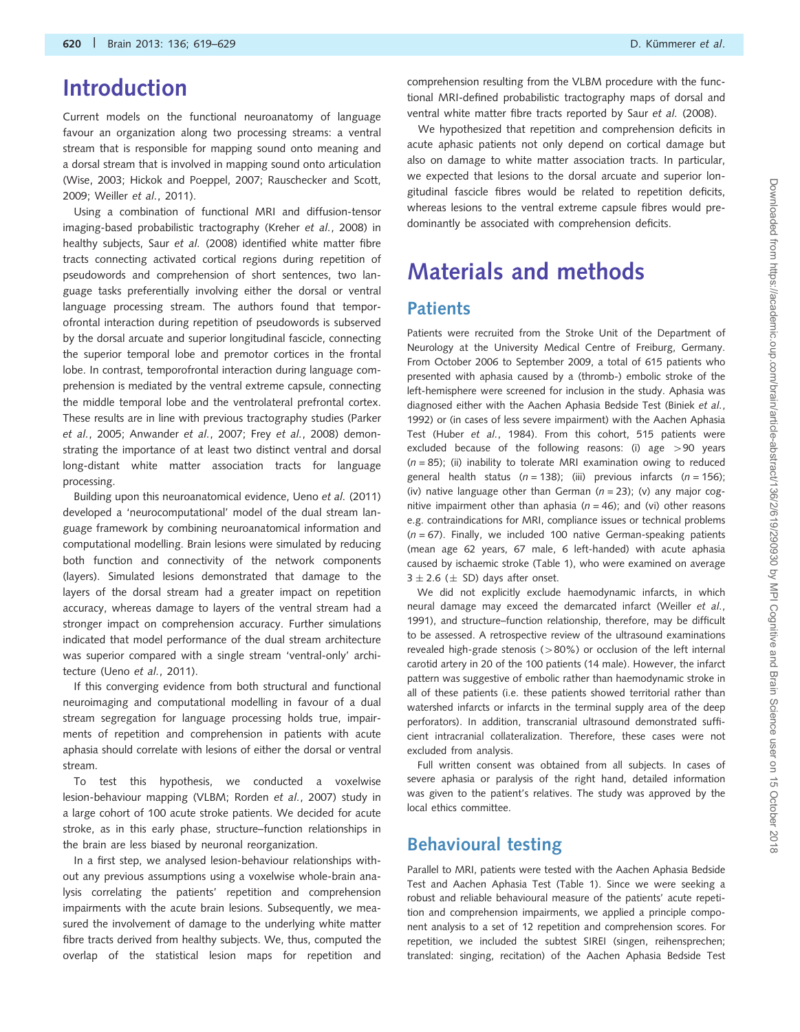## Introduction

Current models on the functional neuroanatomy of language favour an organization along two processing streams: a ventral stream that is responsible for mapping sound onto meaning and a dorsal stream that is involved in mapping sound onto articulation [\(Wise, 2003;](#page-10-0) [Hickok and Poeppel, 2007](#page-9-0); [Rauschecker and Scott,](#page-9-0) [2009;](#page-9-0) [Weiller](#page-10-0) et al., 2011).

Using a combination of functional MRI and diffusion-tensor imaging-based probabilistic tractography (Kreher et al.[, 2008\)](#page-9-0) in healthy subjects, Saur et al. [\(2008\)](#page-9-0) identified white matter fibre tracts connecting activated cortical regions during repetition of pseudowords and comprehension of short sentences, two language tasks preferentially involving either the dorsal or ventral language processing stream. The authors found that temporofrontal interaction during repetition of pseudowords is subserved by the dorsal arcuate and superior longitudinal fascicle, connecting the superior temporal lobe and premotor cortices in the frontal lobe. In contrast, temporofrontal interaction during language comprehension is mediated by the ventral extreme capsule, connecting the middle temporal lobe and the ventrolateral prefrontal cortex. These results are in line with previous tractography studies [\(Parker](#page-9-0) et al.[, 2005](#page-9-0); [Anwander](#page-9-0) et al., 2007; Frey et al.[, 2008\)](#page-9-0) demonstrating the importance of at least two distinct ventral and dorsal long-distant white matter association tracts for language processing.

Building upon this neuroanatomical evidence, Ueno et al. [\(2011\)](#page-10-0) developed a 'neurocomputational' model of the dual stream language framework by combining neuroanatomical information and computational modelling. Brain lesions were simulated by reducing both function and connectivity of the network components (layers). Simulated lesions demonstrated that damage to the layers of the dorsal stream had a greater impact on repetition accuracy, whereas damage to layers of the ventral stream had a stronger impact on comprehension accuracy. Further simulations indicated that model performance of the dual stream architecture was superior compared with a single stream 'ventral-only' architecture (Ueno et al.[, 2011\)](#page-10-0).

If this converging evidence from both structural and functional neuroimaging and computational modelling in favour of a dual stream segregation for language processing holds true, impairments of repetition and comprehension in patients with acute aphasia should correlate with lesions of either the dorsal or ventral stream.

To test this hypothesis, we conducted a voxelwise lesion-behaviour mapping (VLBM; [Rorden](#page-9-0) et al., 2007) study in a large cohort of 100 acute stroke patients. We decided for acute stroke, as in this early phase, structure–function relationships in the brain are less biased by neuronal reorganization.

In a first step, we analysed lesion-behaviour relationships without any previous assumptions using a voxelwise whole-brain analysis correlating the patients' repetition and comprehension impairments with the acute brain lesions. Subsequently, we measured the involvement of damage to the underlying white matter fibre tracts derived from healthy subjects. We, thus, computed the overlap of the statistical lesion maps for repetition and comprehension resulting from the VLBM procedure with the functional MRI-defined probabilistic tractography maps of dorsal and ventral white matter fibre tracts reported by Saur et al. [\(2008\)](#page-9-0).

We hypothesized that repetition and comprehension deficits in acute aphasic patients not only depend on cortical damage but also on damage to white matter association tracts. In particular, we expected that lesions to the dorsal arcuate and superior longitudinal fascicle fibres would be related to repetition deficits, whereas lesions to the ventral extreme capsule fibres would predominantly be associated with comprehension deficits.

# Materials and methods

#### **Patients**

Patients were recruited from the Stroke Unit of the Department of Neurology at the University Medical Centre of Freiburg, Germany. From October 2006 to September 2009, a total of 615 patients who presented with aphasia caused by a (thromb-) embolic stroke of the left-hemisphere were screened for inclusion in the study. Aphasia was diagnosed either with the Aachen Aphasia Bedside Test [\(Biniek](#page-9-0) et al., [1992\)](#page-9-0) or (in cases of less severe impairment) with the Aachen Aphasia Test (Huber et al.[, 1984](#page-9-0)). From this cohort, 515 patients were excluded because of the following reasons: (i) age >90 years  $(n = 85)$ ; (ii) inability to tolerate MRI examination owing to reduced general health status ( $n = 138$ ); (iii) previous infarcts ( $n = 156$ ); (iv) native language other than German ( $n = 23$ ); (v) any major cognitive impairment other than aphasia ( $n = 46$ ); and (vi) other reasons e.g. contraindications for MRI, compliance issues or technical problems  $(n = 67)$ . Finally, we included 100 native German-speaking patients (mean age 62 years, 67 male, 6 left-handed) with acute aphasia caused by ischaemic stroke ([Table 1\)](#page-2-0), who were examined on average  $3 \pm 2.6 \ (\pm \text{ SD})$  days after onset.

We did not explicitly exclude haemodynamic infarcts, in which neural damage may exceed the demarcated infarct ([Weiller](#page-10-0) et al., [1991\)](#page-10-0), and structure–function relationship, therefore, may be difficult to be assessed. A retrospective review of the ultrasound examinations revealed high-grade stenosis ( $>80\%$ ) or occlusion of the left internal carotid artery in 20 of the 100 patients (14 male). However, the infarct pattern was suggestive of embolic rather than haemodynamic stroke in all of these patients (i.e. these patients showed territorial rather than watershed infarcts or infarcts in the terminal supply area of the deep perforators). In addition, transcranial ultrasound demonstrated sufficient intracranial collateralization. Therefore, these cases were not excluded from analysis.

Full written consent was obtained from all subjects. In cases of severe aphasia or paralysis of the right hand, detailed information was given to the patient's relatives. The study was approved by the local ethics committee.

#### Behavioural testing

Parallel to MRI, patients were tested with the Aachen Aphasia Bedside Test and Aachen Aphasia Test ([Table 1](#page-2-0)). Since we were seeking a robust and reliable behavioural measure of the patients' acute repetition and comprehension impairments, we applied a principle component analysis to a set of 12 repetition and comprehension scores. For repetition, we included the subtest SIREI (singen, reihensprechen; translated: singing, recitation) of the Aachen Aphasia Bedside Test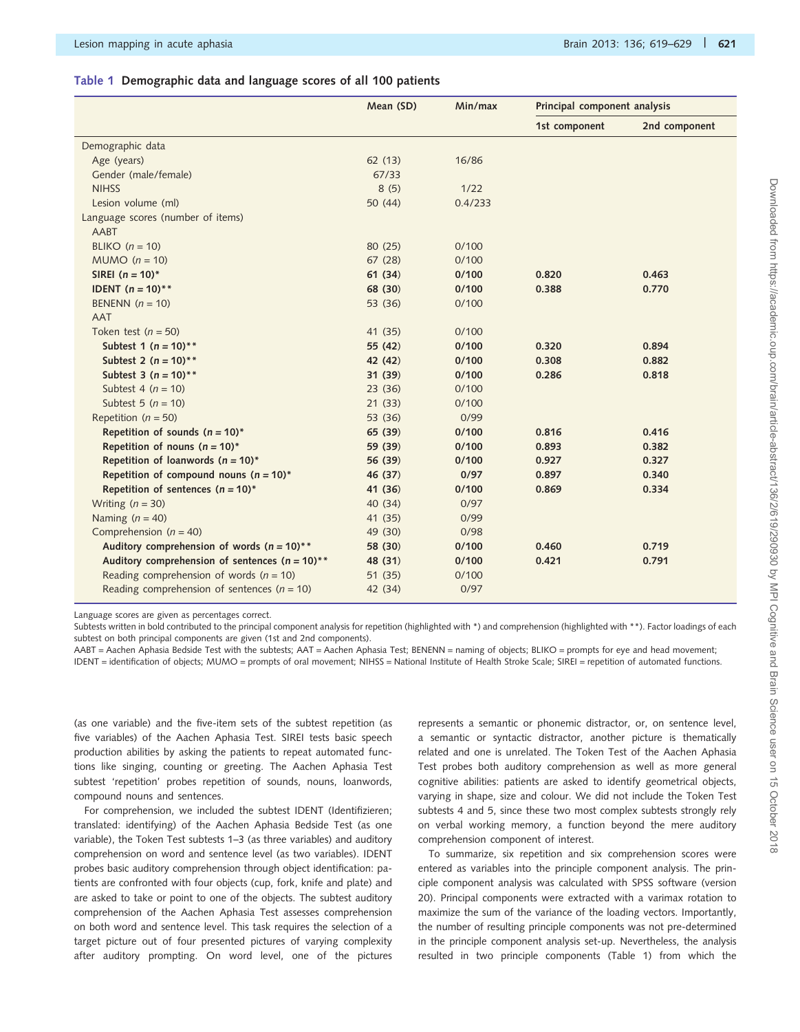#### <span id="page-2-0"></span>Table 1 Demographic data and language scores of all 100 patients

|                                                    | Mean (SD) | Min/max | Principal component analysis |               |
|----------------------------------------------------|-----------|---------|------------------------------|---------------|
|                                                    |           |         | 1st component                | 2nd component |
| Demographic data                                   |           |         |                              |               |
| Age (years)                                        | 62(13)    | 16/86   |                              |               |
| Gender (male/female)                               | 67/33     |         |                              |               |
| <b>NIHSS</b>                                       | 8(5)      | 1/22    |                              |               |
| Lesion volume (ml)                                 | 50 (44)   | 0.4/233 |                              |               |
| Language scores (number of items)                  |           |         |                              |               |
| AABT                                               |           |         |                              |               |
| BLIKO $(n = 10)$                                   | 80 (25)   | 0/100   |                              |               |
| $MUMO (n = 10)$                                    | 67(28)    | 0/100   |                              |               |
| SIREI $(n = 10)^*$                                 | 61(34)    | 0/100   | 0.820                        | 0.463         |
| <b>IDENT</b> $(n = 10)$ <sup>**</sup>              | 68 (30)   | 0/100   | 0.388                        | 0.770         |
| BENENN $(n = 10)$                                  | 53 (36)   | 0/100   |                              |               |
| <b>AAT</b>                                         |           |         |                              |               |
| Token test ( $n = 50$ )                            | 41 (35)   | 0/100   |                              |               |
| Subtest 1 ( $n = 10$ )**                           | 55 (42)   | 0/100   | 0.320                        | 0.894         |
| Subtest 2 ( $n = 10$ )**                           | 42 (42)   | 0/100   | 0.308                        | 0.882         |
| Subtest 3 ( $n = 10$ )**                           | 31(39)    | 0/100   | 0.286                        | 0.818         |
| Subtest 4 ( $n = 10$ )                             | 23(36)    | 0/100   |                              |               |
| Subtest 5 $(n = 10)$                               | 21(33)    | 0/100   |                              |               |
| Repetition ( $n = 50$ )                            | 53 (36)   | 0/99    |                              |               |
| Repetition of sounds $(n = 10)^*$                  | 65 (39)   | 0/100   | 0.816                        | 0.416         |
| Repetition of nouns ( $n = 10$ )*                  | 59 (39)   | 0/100   | 0.893                        | 0.382         |
| Repetition of loanwords ( $n = 10$ )*              | 56 (39)   | 0/100   | 0.927                        | 0.327         |
| Repetition of compound nouns ( $n = 10$ )*         | 46 (37)   | 0/97    | 0.897                        | 0.340         |
| Repetition of sentences $(n = 10)^*$               | 41 (36)   | 0/100   | 0.869                        | 0.334         |
| Writing $(n = 30)$                                 | 40 (34)   | 0/97    |                              |               |
| Naming $(n = 40)$                                  | 41 (35)   | 0/99    |                              |               |
| Comprehension ( $n = 40$ )                         | 49 (30)   | 0/98    |                              |               |
| Auditory comprehension of words $(n = 10)$ **      | 58 (30)   | 0/100   | 0.460                        | 0.719         |
| Auditory comprehension of sentences ( $n = 10$ )** | 48 (31)   | 0/100   | 0.421                        | 0.791         |
| Reading comprehension of words ( $n = 10$ )        | 51 (35)   | 0/100   |                              |               |
| Reading comprehension of sentences ( $n = 10$ )    | 42 (34)   | 0/97    |                              |               |

Language scores are given as percentages correct.

Subtests written in bold contributed to the principal component analysis for repetition (highlighted with \*) and comprehension (highlighted with \*\*). Factor loadings of each subtest on both principal components are given (1st and 2nd components).

AABT = Aachen Aphasia Bedside Test with the subtests; AAT = Aachen Aphasia Test; BENENN = naming of objects; BLIKO = prompts for eye and head movement; IDENT = identification of objects; MUMO = prompts of oral movement; NIHSS = National Institute of Health Stroke Scale; SIREI = repetition of automated functions.

(as one variable) and the five-item sets of the subtest repetition (as five variables) of the Aachen Aphasia Test. SIREI tests basic speech production abilities by asking the patients to repeat automated functions like singing, counting or greeting. The Aachen Aphasia Test subtest 'repetition' probes repetition of sounds, nouns, loanwords, compound nouns and sentences.

For comprehension, we included the subtest IDENT (Identifizieren; translated: identifying) of the Aachen Aphasia Bedside Test (as one variable), the Token Test subtests 1–3 (as three variables) and auditory comprehension on word and sentence level (as two variables). IDENT probes basic auditory comprehension through object identification: patients are confronted with four objects (cup, fork, knife and plate) and are asked to take or point to one of the objects. The subtest auditory comprehension of the Aachen Aphasia Test assesses comprehension on both word and sentence level. This task requires the selection of a target picture out of four presented pictures of varying complexity after auditory prompting. On word level, one of the pictures represents a semantic or phonemic distractor, or, on sentence level, a semantic or syntactic distractor, another picture is thematically related and one is unrelated. The Token Test of the Aachen Aphasia Test probes both auditory comprehension as well as more general cognitive abilities: patients are asked to identify geometrical objects, varying in shape, size and colour. We did not include the Token Test subtests 4 and 5, since these two most complex subtests strongly rely on verbal working memory, a function beyond the mere auditory comprehension component of interest.

To summarize, six repetition and six comprehension scores were entered as variables into the principle component analysis. The principle component analysis was calculated with SPSS software (version 20). Principal components were extracted with a varimax rotation to maximize the sum of the variance of the loading vectors. Importantly, the number of resulting principle components was not pre-determined in the principle component analysis set-up. Nevertheless, the analysis resulted in two principle components (Table 1) from which the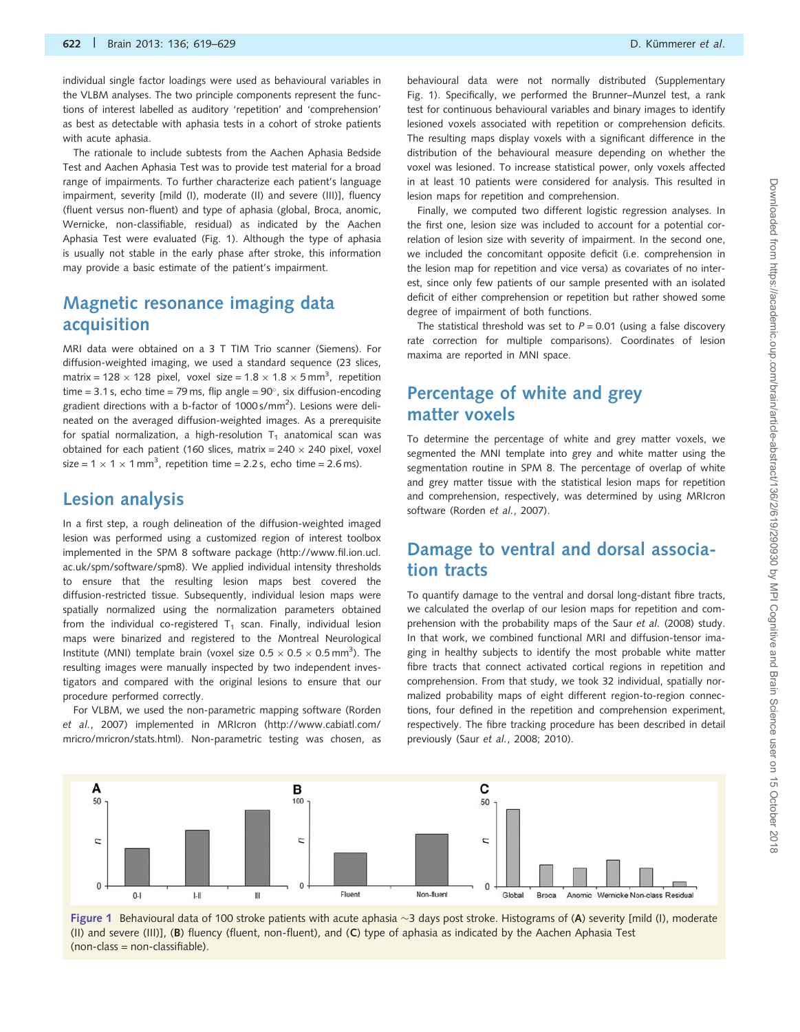<span id="page-3-0"></span>individual single factor loadings were used as behavioural variables in the VLBM analyses. The two principle components represent the functions of interest labelled as auditory 'repetition' and 'comprehension' as best as detectable with aphasia tests in a cohort of stroke patients with acute aphasia.

The rationale to include subtests from the Aachen Aphasia Bedside Test and Aachen Aphasia Test was to provide test material for a broad range of impairments. To further characterize each patient's language impairment, severity [mild (I), moderate (II) and severe (III)], fluency (fluent versus non-fluent) and type of aphasia (global, Broca, anomic, Wernicke, non-classifiable, residual) as indicated by the Aachen Aphasia Test were evaluated (Fig. 1). Although the type of aphasia is usually not stable in the early phase after stroke, this information may provide a basic estimate of the patient's impairment.

### Magnetic resonance imaging data acquisition

MRI data were obtained on a 3 T TIM Trio scanner (Siemens). For diffusion-weighted imaging, we used a standard sequence (23 slices, matrix = 128  $\times$  128 pixel, voxel size = 1.8  $\times$  1.8  $\times$  5 mm<sup>3</sup>, repetition time = 3.1 s, echo time = 79 ms, flip angle =  $90^{\circ}$ , six diffusion-encoding gradient directions with a b-factor of 1000 s/mm<sup>2</sup>). Lesions were delineated on the averaged diffusion-weighted images. As a prerequisite for spatial normalization, a high-resolution  $T_1$  anatomical scan was obtained for each patient (160 slices, matrix =  $240 \times 240$  pixel, voxel size = 1  $\times$  1  $\times$  1 mm<sup>3</sup>, repetition time = 2.2 s, echo time = 2.6 ms).

#### Lesion analysis

In a first step, a rough delineation of the diffusion-weighted imaged lesion was performed using a customized region of interest toolbox implemented in the SPM 8 software package ([http://www.fil.ion.ucl.](http://www.fil.ion.ucl.ac.uk/spm/software/spm8) [ac.uk/spm/software/spm8](http://www.fil.ion.ucl.ac.uk/spm/software/spm8)). We applied individual intensity thresholds to ensure that the resulting lesion maps best covered the diffusion-restricted tissue. Subsequently, individual lesion maps were spatially normalized using the normalization parameters obtained from the individual co-registered  $T_1$  scan. Finally, individual lesion maps were binarized and registered to the Montreal Neurological Institute (MNI) template brain (voxel size  $0.5 \times 0.5 \times 0.5$  mm<sup>3</sup>). The resulting images were manually inspected by two independent investigators and compared with the original lesions to ensure that our procedure performed correctly.

For VLBM, we used the non-parametric mapping software [\(Rorden](#page-9-0) et al.[, 2007](#page-9-0)) implemented in MRIcron [\(http://www.cabiatl.com/](http://www.cabiatl.com/mricro/mricron/stats.html) [mricro/mricron/stats.html](http://www.cabiatl.com/mricro/mricron/stats.html)). Non-parametric testing was chosen, as

behavioural data were not normally distributed ([Supplementary](http://brain.oxfordjournals.org/lookup/suppl/doi:10.1093/brain/aws354/-/DC1) [Fig. 1\)](http://brain.oxfordjournals.org/lookup/suppl/doi:10.1093/brain/aws354/-/DC1). Specifically, we performed the Brunner–Munzel test, a rank test for continuous behavioural variables and binary images to identify lesioned voxels associated with repetition or comprehension deficits. The resulting maps display voxels with a significant difference in the distribution of the behavioural measure depending on whether the voxel was lesioned. To increase statistical power, only voxels affected in at least 10 patients were considered for analysis. This resulted in lesion maps for repetition and comprehension.

Finally, we computed two different logistic regression analyses. In the first one, lesion size was included to account for a potential correlation of lesion size with severity of impairment. In the second one, we included the concomitant opposite deficit (i.e. comprehension in the lesion map for repetition and vice versa) as covariates of no interest, since only few patients of our sample presented with an isolated deficit of either comprehension or repetition but rather showed some degree of impairment of both functions.

The statistical threshold was set to  $P = 0.01$  (using a false discovery rate correction for multiple comparisons). Coordinates of lesion maxima are reported in MNI space.

### Percentage of white and grey matter voxels

To determine the percentage of white and grey matter voxels, we segmented the MNI template into grey and white matter using the segmentation routine in SPM 8. The percentage of overlap of white and grey matter tissue with the statistical lesion maps for repetition and comprehension, respectively, was determined by using MRIcron software ([Rorden](#page-9-0) et al., 2007).

### Damage to ventral and dorsal association tracts

To quantify damage to the ventral and dorsal long-distant fibre tracts, we calculated the overlap of our lesion maps for repetition and com-prehension with the probability maps of the Saur et al. [\(2008\)](#page-9-0) study. In that work, we combined functional MRI and diffusion-tensor imaging in healthy subjects to identify the most probable white matter fibre tracts that connect activated cortical regions in repetition and comprehension. From that study, we took 32 individual, spatially normalized probability maps of eight different region-to-region connections, four defined in the repetition and comprehension experiment, respectively. The fibre tracking procedure has been described in detail previously (Saur et al.[, 2008; 2010\)](#page-9-0).



Figure 1 Behavioural data of 100 stroke patients with acute aphasia  $\sim$ 3 days post stroke. Histograms of (A) severity [mild (I), moderate (II) and severe (III)], (B) fluency (fluent, non-fluent), and (C) type of aphasia as indicated by the Aachen Aphasia Test (non-class = non-classifiable).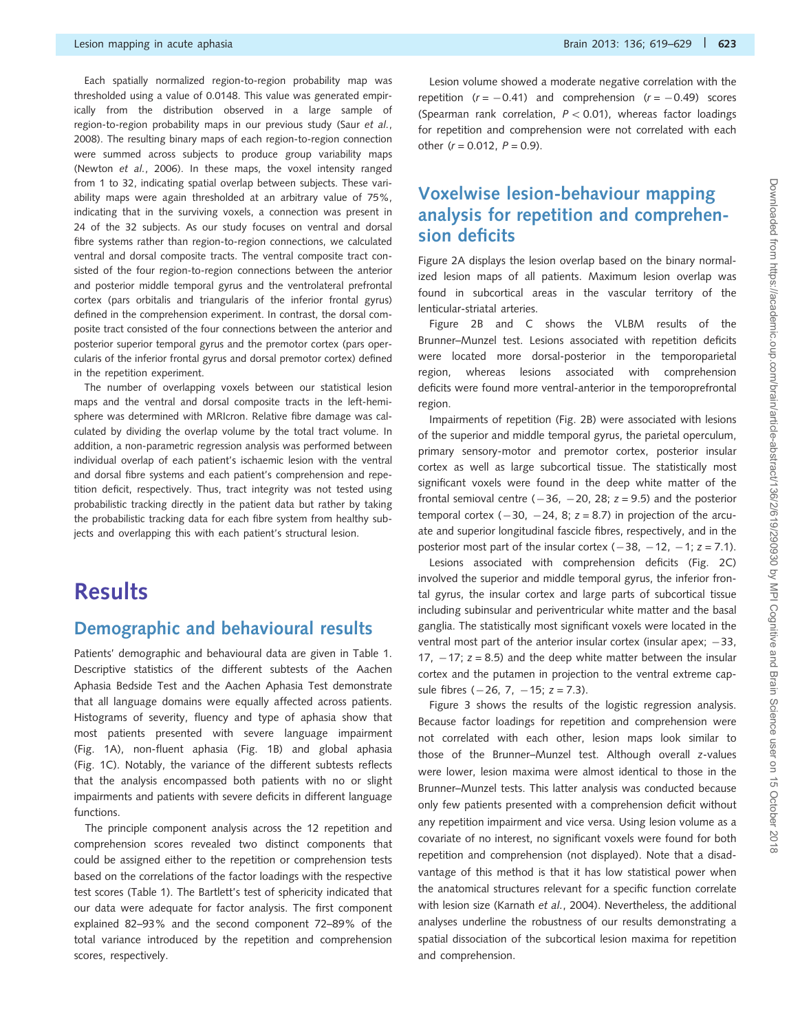Each spatially normalized region-to-region probability map was thresholded using a value of 0.0148. This value was generated empirically from the distribution observed in a large sample of region-to-region probability maps in our previous study (Saur [et al.](#page-9-0), [2008](#page-9-0)). The resulting binary maps of each region-to-region connection were summed across subjects to produce group variability maps [\(Newton](#page-9-0) et al., 2006). In these maps, the voxel intensity ranged from 1 to 32, indicating spatial overlap between subjects. These variability maps were again thresholded at an arbitrary value of 75%, indicating that in the surviving voxels, a connection was present in 24 of the 32 subjects. As our study focuses on ventral and dorsal fibre systems rather than region-to-region connections, we calculated ventral and dorsal composite tracts. The ventral composite tract consisted of the four region-to-region connections between the anterior and posterior middle temporal gyrus and the ventrolateral prefrontal cortex (pars orbitalis and triangularis of the inferior frontal gyrus) defined in the comprehension experiment. In contrast, the dorsal composite tract consisted of the four connections between the anterior and posterior superior temporal gyrus and the premotor cortex (pars opercularis of the inferior frontal gyrus and dorsal premotor cortex) defined in the repetition experiment.

The number of overlapping voxels between our statistical lesion maps and the ventral and dorsal composite tracts in the left-hemisphere was determined with MRIcron. Relative fibre damage was calculated by dividing the overlap volume by the total tract volume. In addition, a non-parametric regression analysis was performed between individual overlap of each patient's ischaemic lesion with the ventral and dorsal fibre systems and each patient's comprehension and repetition deficit, respectively. Thus, tract integrity was not tested using probabilistic tracking directly in the patient data but rather by taking the probabilistic tracking data for each fibre system from healthy subjects and overlapping this with each patient's structural lesion.

# **Results**

#### Demographic and behavioural results

Patients' demographic and behavioural data are given in [Table 1](#page-2-0). Descriptive statistics of the different subtests of the Aachen Aphasia Bedside Test and the Aachen Aphasia Test demonstrate that all language domains were equally affected across patients. Histograms of severity, fluency and type of aphasia show that most patients presented with severe language impairment ([Fig. 1](#page-3-0)A), non-fluent aphasia ([Fig. 1](#page-3-0)B) and global aphasia ([Fig. 1](#page-3-0)C). Notably, the variance of the different subtests reflects that the analysis encompassed both patients with no or slight impairments and patients with severe deficits in different language functions.

The principle component analysis across the 12 repetition and comprehension scores revealed two distinct components that could be assigned either to the repetition or comprehension tests based on the correlations of the factor loadings with the respective test scores [\(Table 1\)](#page-2-0). The Bartlett's test of sphericity indicated that our data were adequate for factor analysis. The first component explained 82–93% and the second component 72–89% of the total variance introduced by the repetition and comprehension scores, respectively.

Lesion volume showed a moderate negative correlation with the repetition  $(r = -0.41)$  and comprehension  $(r = -0.49)$  scores (Spearman rank correlation,  $P < 0.01$ ), whereas factor loadings for repetition and comprehension were not correlated with each other  $(r = 0.012, P = 0.9)$ .

### Voxelwise lesion-behaviour mapping analysis for repetition and comprehension deficits

[Figure 2A](#page-5-0) displays the lesion overlap based on the binary normalized lesion maps of all patients. Maximum lesion overlap was found in subcortical areas in the vascular territory of the lenticular-striatal arteries.

[Figure 2B](#page-5-0) and C shows the VLBM results of the Brunner–Munzel test. Lesions associated with repetition deficits were located more dorsal-posterior in the temporoparietal region, whereas lesions associated with comprehension deficits were found more ventral-anterior in the temporoprefrontal region.

Impairments of repetition ([Fig. 2B](#page-5-0)) were associated with lesions of the superior and middle temporal gyrus, the parietal operculum, primary sensory-motor and premotor cortex, posterior insular cortex as well as large subcortical tissue. The statistically most significant voxels were found in the deep white matter of the frontal semioval centre ( $-36$ ,  $-20$ , 28;  $z = 9.5$ ) and the posterior temporal cortex  $(-30, -24, 8; z = 8.7)$  in projection of the arcuate and superior longitudinal fascicle fibres, respectively, and in the posterior most part of the insular cortex  $(-38, -12, -1; z = 7.1)$ .

Lesions associated with comprehension deficits [\(Fig. 2C](#page-5-0)) involved the superior and middle temporal gyrus, the inferior frontal gyrus, the insular cortex and large parts of subcortical tissue including subinsular and periventricular white matter and the basal ganglia. The statistically most significant voxels were located in the ventral most part of the anterior insular cortex (insular apex;  $-33$ , 17,  $-17$ ;  $z = 8.5$ ) and the deep white matter between the insular cortex and the putamen in projection to the ventral extreme capsule fibres  $(-26, 7, -15; z = 7.3)$ .

[Figure 3](#page-5-0) shows the results of the logistic regression analysis. Because factor loadings for repetition and comprehension were not correlated with each other, lesion maps look similar to those of the Brunner–Munzel test. Although overall z-values were lower, lesion maxima were almost identical to those in the Brunner–Munzel tests. This latter analysis was conducted because only few patients presented with a comprehension deficit without any repetition impairment and vice versa. Using lesion volume as a covariate of no interest, no significant voxels were found for both repetition and comprehension (not displayed). Note that a disadvantage of this method is that it has low statistical power when the anatomical structures relevant for a specific function correlate with lesion size [\(Karnath](#page-9-0) et al., 2004). Nevertheless, the additional analyses underline the robustness of our results demonstrating a spatial dissociation of the subcortical lesion maxima for repetition and comprehension.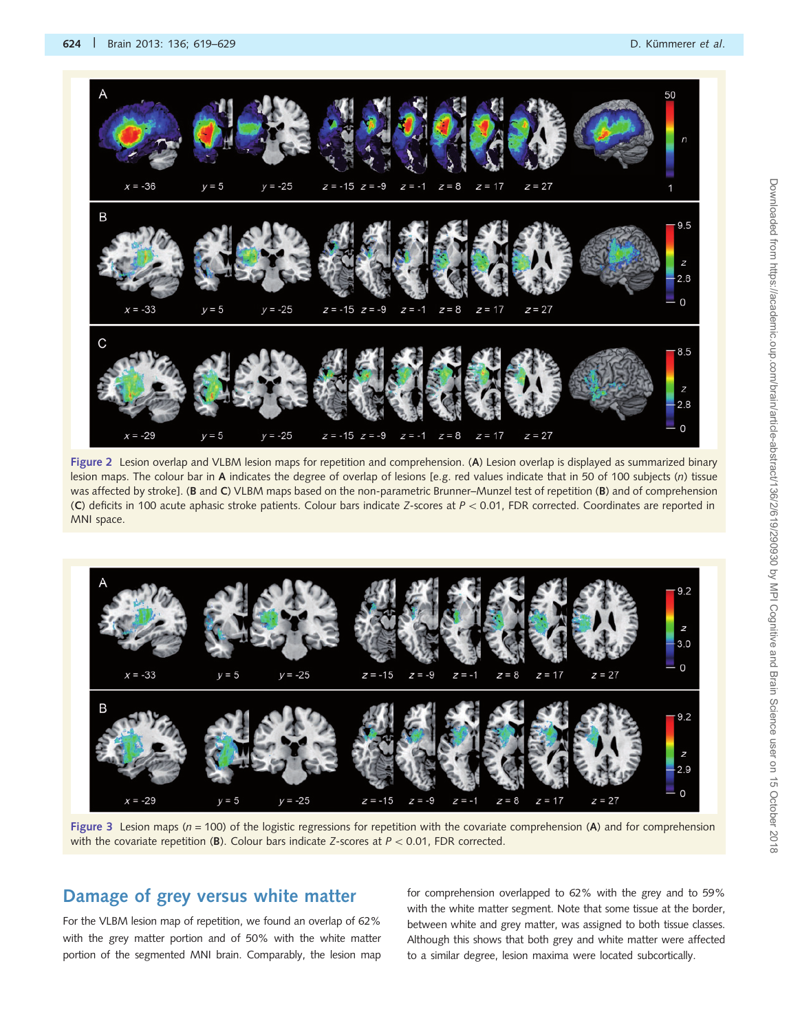<span id="page-5-0"></span>

Figure 2 Lesion overlap and VLBM lesion maps for repetition and comprehension. (A) Lesion overlap is displayed as summarized binary lesion maps. The colour bar in A indicates the degree of overlap of lesions [e.g. red values indicate that in 50 of 100 subjects (n) tissue was affected by stroke]. (B and C) VLBM maps based on the non-parametric Brunner–Munzel test of repetition (B) and of comprehension (C) deficits in 100 acute aphasic stroke patients. Colour bars indicate Z-scores at  $P < 0.01$ , FDR corrected. Coordinates are reported in MNI space.



Figure 3 Lesion maps ( $n = 100$ ) of the logistic regressions for repetition with the covariate comprehension (A) and for comprehension with the covariate repetition (B). Colour bars indicate Z-scores at  $P < 0.01$ , FDR corrected.

#### Damage of grey versus white matter

For the VLBM lesion map of repetition, we found an overlap of 62% with the grey matter portion and of 50% with the white matter portion of the segmented MNI brain. Comparably, the lesion map for comprehension overlapped to 62% with the grey and to 59% with the white matter segment. Note that some tissue at the border, between white and grey matter, was assigned to both tissue classes. Although this shows that both grey and white matter were affected to a similar degree, lesion maxima were located subcortically.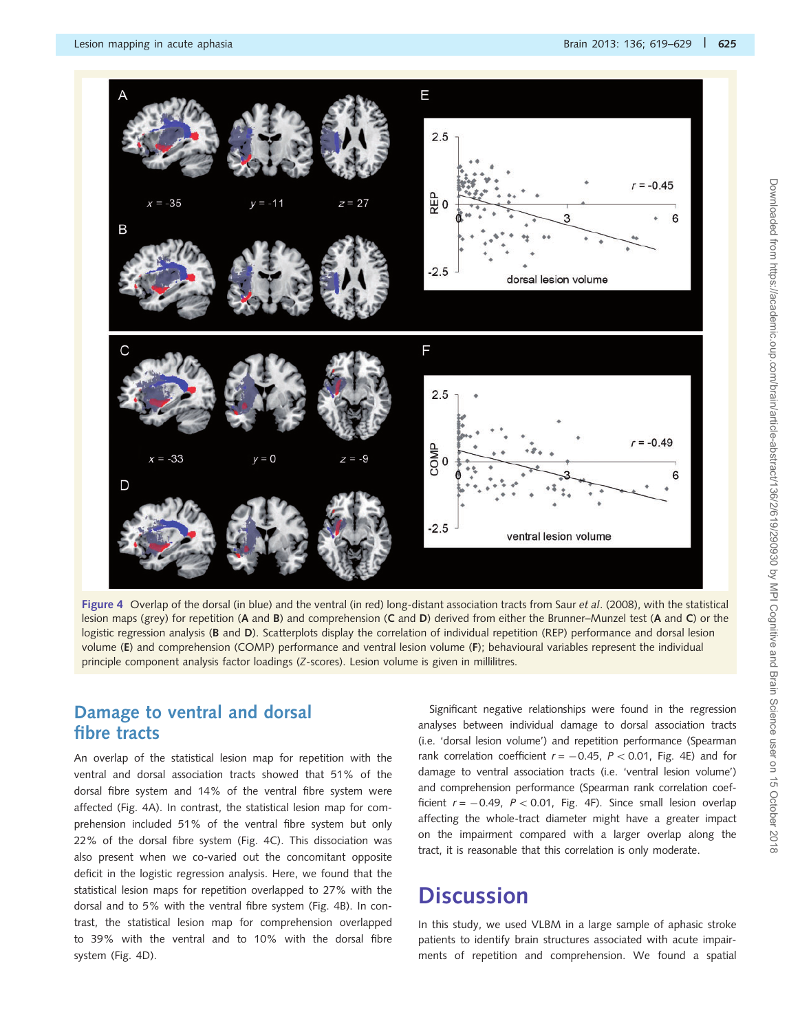<span id="page-6-0"></span>![](_page_6_Figure_2.jpeg)

Figure 4 Overlap of the dorsal (in blue) and the ventral (in red) long-distant association tracts from Saur et al[. \(2008\),](#page-9-0) with the statistical lesion maps (grey) for repetition (A and B) and comprehension (C and D) derived from either the Brunner–Munzel test (A and C) or the logistic regression analysis (B and D). Scatterplots display the correlation of individual repetition (REP) performance and dorsal lesion volume (E) and comprehension (COMP) performance and ventral lesion volume (F); behavioural variables represent the individual principle component analysis factor loadings (Z-scores). Lesion volume is given in millilitres.

### Damage to ventral and dorsal fibre tracts

An overlap of the statistical lesion map for repetition with the ventral and dorsal association tracts showed that 51% of the dorsal fibre system and 14% of the ventral fibre system were affected (Fig. 4A). In contrast, the statistical lesion map for comprehension included 51% of the ventral fibre system but only 22% of the dorsal fibre system (Fig. 4C). This dissociation was also present when we co-varied out the concomitant opposite deficit in the logistic regression analysis. Here, we found that the statistical lesion maps for repetition overlapped to 27% with the dorsal and to 5% with the ventral fibre system (Fig. 4B). In contrast, the statistical lesion map for comprehension overlapped to 39% with the ventral and to 10% with the dorsal fibre system (Fig. 4D).

Significant negative relationships were found in the regression analyses between individual damage to dorsal association tracts (i.e. 'dorsal lesion volume') and repetition performance (Spearman rank correlation coefficient  $r = -0.45$ ,  $P < 0.01$ , Fig. 4E) and for damage to ventral association tracts (i.e. 'ventral lesion volume') and comprehension performance (Spearman rank correlation coefficient  $r = -0.49$ ,  $P < 0.01$ , Fig. 4F). Since small lesion overlap affecting the whole-tract diameter might have a greater impact on the impairment compared with a larger overlap along the tract, it is reasonable that this correlation is only moderate.

# **Discussion**

In this study, we used VLBM in a large sample of aphasic stroke patients to identify brain structures associated with acute impairments of repetition and comprehension. We found a spatial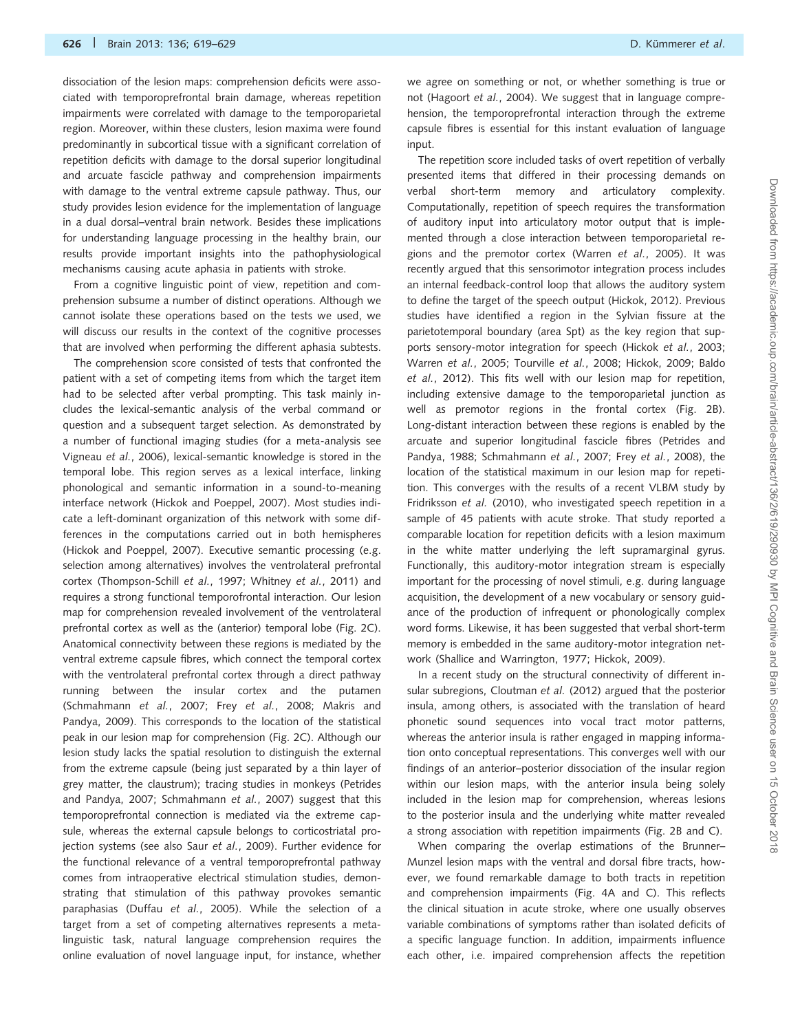dissociation of the lesion maps: comprehension deficits were associated with temporoprefrontal brain damage, whereas repetition impairments were correlated with damage to the temporoparietal region. Moreover, within these clusters, lesion maxima were found predominantly in subcortical tissue with a significant correlation of repetition deficits with damage to the dorsal superior longitudinal and arcuate fascicle pathway and comprehension impairments with damage to the ventral extreme capsule pathway. Thus, our study provides lesion evidence for the implementation of language in a dual dorsal–ventral brain network. Besides these implications for understanding language processing in the healthy brain, our results provide important insights into the pathophysiological mechanisms causing acute aphasia in patients with stroke.

From a cognitive linguistic point of view, repetition and comprehension subsume a number of distinct operations. Although we cannot isolate these operations based on the tests we used, we will discuss our results in the context of the cognitive processes that are involved when performing the different aphasia subtests.

The comprehension score consisted of tests that confronted the patient with a set of competing items from which the target item had to be selected after verbal prompting. This task mainly includes the lexical-semantic analysis of the verbal command or question and a subsequent target selection. As demonstrated by a number of functional imaging studies (for a meta-analysis see [Vigneau](#page-10-0) et al., 2006), lexical-semantic knowledge is stored in the temporal lobe. This region serves as a lexical interface, linking phonological and semantic information in a sound-to-meaning interface network [\(Hickok and Poeppel, 2007](#page-9-0)). Most studies indicate a left-dominant organization of this network with some differences in the computations carried out in both hemispheres [\(Hickok and Poeppel, 2007](#page-9-0)). Executive semantic processing (e.g. selection among alternatives) involves the ventrolateral prefrontal cortex [\(Thompson-Schill](#page-10-0) et al., 1997; [Whitney](#page-10-0) et al., 2011) and requires a strong functional temporofrontal interaction. Our lesion map for comprehension revealed involvement of the ventrolateral prefrontal cortex as well as the (anterior) temporal lobe [\(Fig. 2](#page-5-0)C). Anatomical connectivity between these regions is mediated by the ventral extreme capsule fibres, which connect the temporal cortex with the ventrolateral prefrontal cortex through a direct pathway running between the insular cortex and the putamen [\(Schmahmann](#page-9-0) et al., 2007; Frey et al.[, 2008; Makris and](#page-9-0) [Pandya, 2009\)](#page-9-0). This corresponds to the location of the statistical peak in our lesion map for comprehension [\(Fig. 2C](#page-5-0)). Although our lesion study lacks the spatial resolution to distinguish the external from the extreme capsule (being just separated by a thin layer of grey matter, the claustrum); tracing studies in monkeys ([Petrides](#page-9-0) [and Pandya, 2007; Schmahmann](#page-9-0) et al., 2007) suggest that this temporoprefrontal connection is mediated via the extreme capsule, whereas the external capsule belongs to corticostriatal projection systems (see also Saur et al.[, 2009](#page-9-0)). Further evidence for the functional relevance of a ventral temporoprefrontal pathway comes from intraoperative electrical stimulation studies, demonstrating that stimulation of this pathway provokes semantic paraphasias (Duffau et al.[, 2005](#page-9-0)). While the selection of a target from a set of competing alternatives represents a metalinguistic task, natural language comprehension requires the online evaluation of novel language input, for instance, whether

we agree on something or not, or whether something is true or not [\(Hagoort](#page-9-0) et al., 2004). We suggest that in language comprehension, the temporoprefrontal interaction through the extreme capsule fibres is essential for this instant evaluation of language input.

The repetition score included tasks of overt repetition of verbally presented items that differed in their processing demands on verbal short-term memory and articulatory complexity. Computationally, repetition of speech requires the transformation of auditory input into articulatory motor output that is implemented through a close interaction between temporoparietal regions and the premotor cortex [\(Warren](#page-10-0) et al., 2005). It was recently argued that this sensorimotor integration process includes an internal feedback-control loop that allows the auditory system to define the target of the speech output ([Hickok, 2012\)](#page-9-0). Previous studies have identified a region in the Sylvian fissure at the parietotemporal boundary (area Spt) as the key region that supports sensory-motor integration for speech (Hickok et al.[, 2003;](#page-9-0) [Warren](#page-10-0) et al., 2005; [Tourville](#page-10-0) et al., 2008; [Hickok, 2009; Baldo](#page-9-0) et al.[, 2012](#page-9-0)). This fits well with our lesion map for repetition, including extensive damage to the temporoparietal junction as well as premotor regions in the frontal cortex ([Fig. 2](#page-5-0)B). Long-distant interaction between these regions is enabled by the arcuate and superior longitudinal fascicle fibres ([Petrides and](#page-9-0) [Pandya, 1988](#page-9-0); [Schmahmann](#page-9-0) et al., 2007; Frey et al.[, 2008\)](#page-9-0), the location of the statistical maximum in our lesion map for repetition. This converges with the results of a recent VLBM study by [Fridriksson](#page-9-0) et al. (2010), who investigated speech repetition in a sample of 45 patients with acute stroke. That study reported a comparable location for repetition deficits with a lesion maximum in the white matter underlying the left supramarginal gyrus. Functionally, this auditory-motor integration stream is especially important for the processing of novel stimuli, e.g. during language acquisition, the development of a new vocabulary or sensory guidance of the production of infrequent or phonologically complex word forms. Likewise, it has been suggested that verbal short-term memory is embedded in the same auditory-motor integration network ([Shallice and Warrington, 1977; Hickok, 2009\)](#page-9-0).

In a recent study on the structural connectivity of different in-sular subregions, [Cloutman](#page-9-0) et al. (2012) argued that the posterior insula, among others, is associated with the translation of heard phonetic sound sequences into vocal tract motor patterns, whereas the anterior insula is rather engaged in mapping information onto conceptual representations. This converges well with our findings of an anterior–posterior dissociation of the insular region within our lesion maps, with the anterior insula being solely included in the lesion map for comprehension, whereas lesions to the posterior insula and the underlying white matter revealed a strong association with repetition impairments ([Fig. 2](#page-5-0)B and C).

When comparing the overlap estimations of the Brunner– Munzel lesion maps with the ventral and dorsal fibre tracts, however, we found remarkable damage to both tracts in repetition and comprehension impairments [\(Fig. 4A](#page-6-0) and C). This reflects the clinical situation in acute stroke, where one usually observes variable combinations of symptoms rather than isolated deficits of a specific language function. In addition, impairments influence each other, i.e. impaired comprehension affects the repetition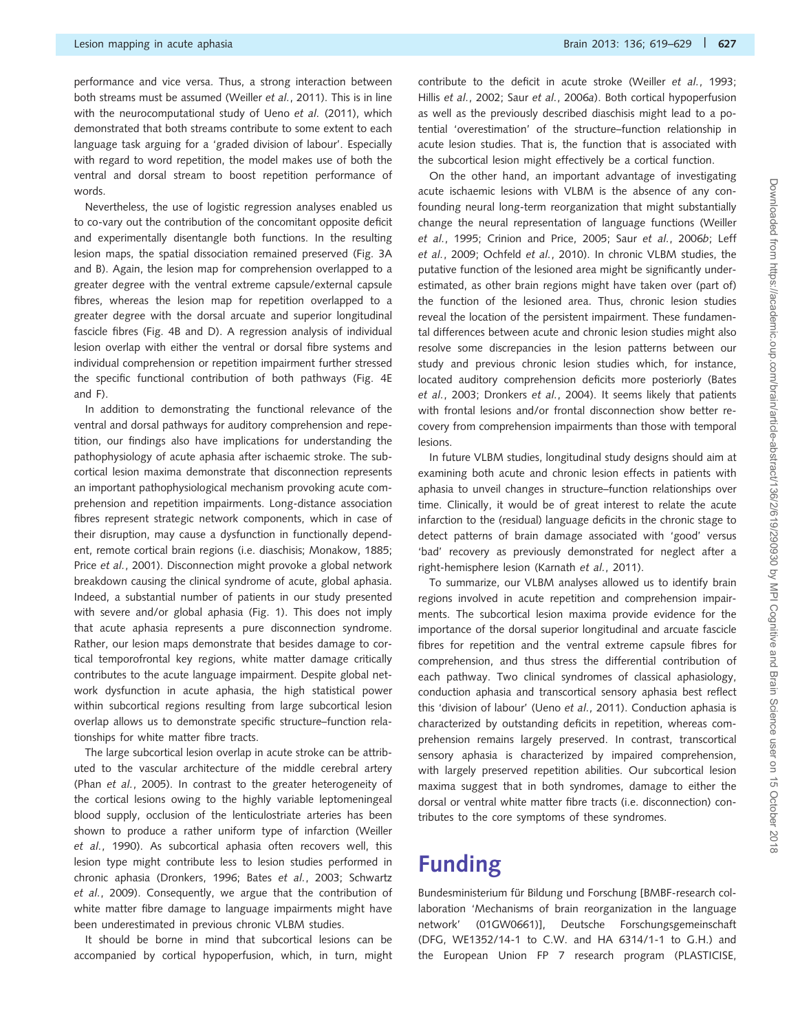performance and vice versa. Thus, a strong interaction between both streams must be assumed ([Weiller](#page-10-0) et al., 2011). This is in line with the neurocomputational study of Ueno et al. [\(2011\)](#page-10-0), which demonstrated that both streams contribute to some extent to each language task arguing for a 'graded division of labour'. Especially with regard to word repetition, the model makes use of both the ventral and dorsal stream to boost repetition performance of words.

Nevertheless, the use of logistic regression analyses enabled us to co-vary out the contribution of the concomitant opposite deficit and experimentally disentangle both functions. In the resulting lesion maps, the spatial dissociation remained preserved [\(Fig. 3A](#page-5-0) and B). Again, the lesion map for comprehension overlapped to a greater degree with the ventral extreme capsule/external capsule fibres, whereas the lesion map for repetition overlapped to a greater degree with the dorsal arcuate and superior longitudinal fascicle fibres [\(Fig. 4B](#page-6-0) and D). A regression analysis of individual lesion overlap with either the ventral or dorsal fibre systems and individual comprehension or repetition impairment further stressed the specific functional contribution of both pathways [\(Fig. 4](#page-6-0)E and F).

In addition to demonstrating the functional relevance of the ventral and dorsal pathways for auditory comprehension and repetition, our findings also have implications for understanding the pathophysiology of acute aphasia after ischaemic stroke. The subcortical lesion maxima demonstrate that disconnection represents an important pathophysiological mechanism provoking acute comprehension and repetition impairments. Long-distance association fibres represent strategic network components, which in case of their disruption, may cause a dysfunction in functionally dependent, remote cortical brain regions (i.e. diaschisis; [Monakow, 1885](#page-9-0); Price et al.[, 2001\)](#page-9-0). Disconnection might provoke a global network breakdown causing the clinical syndrome of acute, global aphasia. Indeed, a substantial number of patients in our study presented with severe and/or global aphasia [\(Fig. 1](#page-3-0)). This does not imply that acute aphasia represents a pure disconnection syndrome. Rather, our lesion maps demonstrate that besides damage to cortical temporofrontal key regions, white matter damage critically contributes to the acute language impairment. Despite global network dysfunction in acute aphasia, the high statistical power within subcortical regions resulting from large subcortical lesion overlap allows us to demonstrate specific structure–function relationships for white matter fibre tracts.

The large subcortical lesion overlap in acute stroke can be attributed to the vascular architecture of the middle cerebral artery (Phan et al.[, 2005](#page-9-0)). In contrast to the greater heterogeneity of the cortical lesions owing to the highly variable leptomeningeal blood supply, occlusion of the lenticulostriate arteries has been shown to produce a rather uniform type of infarction [\(Weiller](#page-10-0) et al.[, 1990\)](#page-10-0). As subcortical aphasia often recovers well, this lesion type might contribute less to lesion studies performed in chronic aphasia ([Dronkers, 1996;](#page-9-0) Bates et al.[, 2003](#page-9-0); [Schwartz](#page-9-0) et al.[, 2009\)](#page-9-0). Consequently, we argue that the contribution of white matter fibre damage to language impairments might have been underestimated in previous chronic VLBM studies.

It should be borne in mind that subcortical lesions can be accompanied by cortical hypoperfusion, which, in turn, might contribute to the deficit in acute stroke (Weiller et al.[, 1993](#page-10-0); Hillis et al.[, 2002;](#page-9-0) Saur et al.[, 2006](#page-9-0)a). Both cortical hypoperfusion as well as the previously described diaschisis might lead to a potential 'overestimation' of the structure–function relationship in acute lesion studies. That is, the function that is associated with the subcortical lesion might effectively be a cortical function.

On the other hand, an important advantage of investigating acute ischaemic lesions with VLBM is the absence of any confounding neural long-term reorganization that might substantially change the neural representation of language functions [\(Weiller](#page-10-0) et al.[, 1995;](#page-10-0) [Crinion and Price, 2005](#page-9-0); Saur et al.[, 2006](#page-9-0)b; [Leff](#page-9-0) et al.[, 2009; Ochfeld](#page-9-0) et al., 2010). In chronic VLBM studies, the putative function of the lesioned area might be significantly underestimated, as other brain regions might have taken over (part of) the function of the lesioned area. Thus, chronic lesion studies reveal the location of the persistent impairment. These fundamental differences between acute and chronic lesion studies might also resolve some discrepancies in the lesion patterns between our study and previous chronic lesion studies which, for instance, located auditory comprehension deficits more posteriorly [\(Bates](#page-9-0) et al.[, 2003](#page-9-0); [Dronkers](#page-9-0) et al., 2004). It seems likely that patients with frontal lesions and/or frontal disconnection show better recovery from comprehension impairments than those with temporal lesions.

In future VLBM studies, longitudinal study designs should aim at examining both acute and chronic lesion effects in patients with aphasia to unveil changes in structure–function relationships over time. Clinically, it would be of great interest to relate the acute infarction to the (residual) language deficits in the chronic stage to detect patterns of brain damage associated with 'good' versus 'bad' recovery as previously demonstrated for neglect after a right-hemisphere lesion ([Karnath](#page-9-0) et al., 2011).

To summarize, our VLBM analyses allowed us to identify brain regions involved in acute repetition and comprehension impairments. The subcortical lesion maxima provide evidence for the importance of the dorsal superior longitudinal and arcuate fascicle fibres for repetition and the ventral extreme capsule fibres for comprehension, and thus stress the differential contribution of each pathway. Two clinical syndromes of classical aphasiology, conduction aphasia and transcortical sensory aphasia best reflect this 'division of labour' (Ueno et al.[, 2011\)](#page-10-0). Conduction aphasia is characterized by outstanding deficits in repetition, whereas comprehension remains largely preserved. In contrast, transcortical sensory aphasia is characterized by impaired comprehension, with largely preserved repetition abilities. Our subcortical lesion maxima suggest that in both syndromes, damage to either the dorsal or ventral white matter fibre tracts (i.e. disconnection) contributes to the core symptoms of these syndromes.

# Funding

Bundesministerium für Bildung und Forschung [BMBF-research collaboration 'Mechanisms of brain reorganization in the language network' (01GW0661)], Deutsche Forschungsgemeinschaft (DFG, WE1352/14-1 to C.W. and HA 6314/1-1 to G.H.) and the European Union FP 7 research program (PLASTICISE,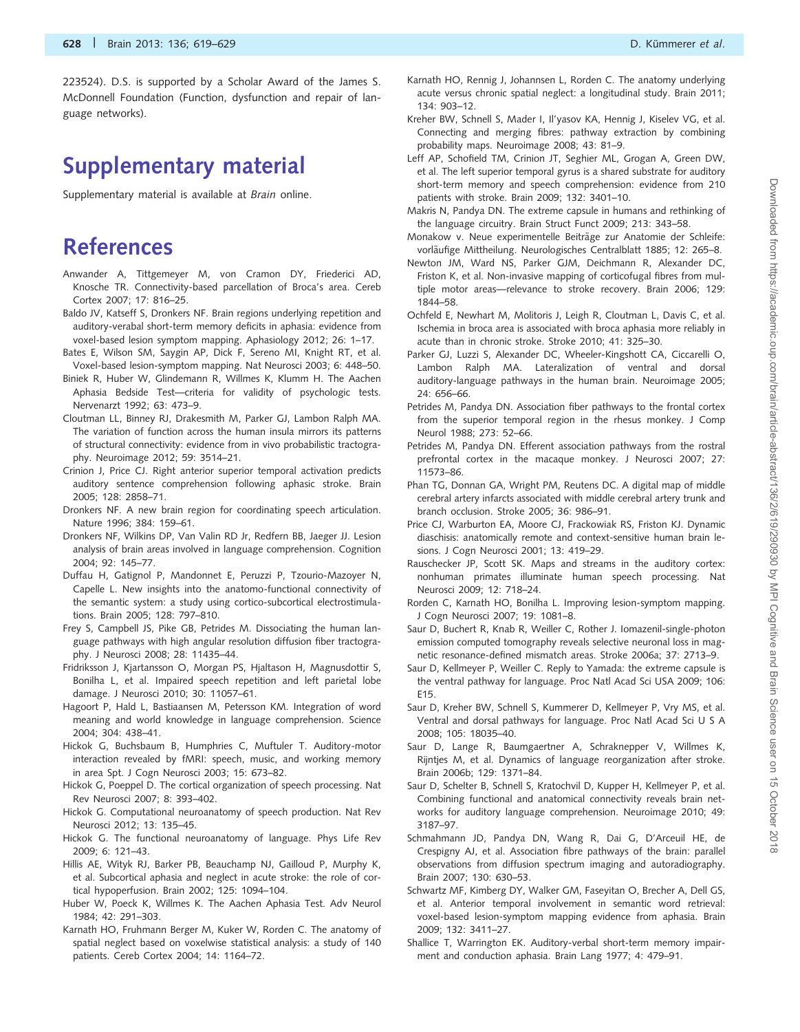# <span id="page-9-0"></span>Supplementary material

[Supplementary material](http://brain.oxfordjournals.org/lookup/suppl/doi:10.1093/brain/aws354/-/DC1) is available at Brain online.

# References

- Anwander A, Tittgemeyer M, von Cramon DY, Friederici AD, Knosche TR. Connectivity-based parcellation of Broca's area. Cereb Cortex 2007; 17: 816–25.
- Baldo JV, Katseff S, Dronkers NF. Brain regions underlying repetition and auditory-verabal short-term memory deficits in aphasia: evidence from voxel-based lesion symptom mapping. Aphasiology 2012; 26: 1–17.
- Bates E, Wilson SM, Saygin AP, Dick F, Sereno MI, Knight RT, et al. Voxel-based lesion-symptom mapping. Nat Neurosci 2003; 6: 448–50.
- Biniek R, Huber W, Glindemann R, Willmes K, Klumm H. The Aachen Aphasia Bedside Test—criteria for validity of psychologic tests. Nervenarzt 1992; 63: 473–9.
- Cloutman LL, Binney RJ, Drakesmith M, Parker GJ, Lambon Ralph MA. The variation of function across the human insula mirrors its patterns of structural connectivity: evidence from in vivo probabilistic tractography. Neuroimage 2012; 59: 3514–21.
- Crinion J, Price CJ. Right anterior superior temporal activation predicts auditory sentence comprehension following aphasic stroke. Brain 2005; 128: 2858–71.
- Dronkers NF. A new brain region for coordinating speech articulation. Nature 1996; 384: 159–61.
- Dronkers NF, Wilkins DP, Van Valin RD Jr, Redfern BB, Jaeger JJ. Lesion analysis of brain areas involved in language comprehension. Cognition 2004; 92: 145–77.
- Duffau H, Gatignol P, Mandonnet E, Peruzzi P, Tzourio-Mazoyer N, Capelle L. New insights into the anatomo-functional connectivity of the semantic system: a study using cortico-subcortical electrostimulations. Brain 2005; 128: 797–810.
- Frey S, Campbell JS, Pike GB, Petrides M. Dissociating the human language pathways with high angular resolution diffusion fiber tractography. J Neurosci 2008; 28: 11435–44.
- Fridriksson J, Kjartansson O, Morgan PS, Hjaltason H, Magnusdottir S, Bonilha L, et al. Impaired speech repetition and left parietal lobe damage. J Neurosci 2010; 30: 11057–61.
- Hagoort P, Hald L, Bastiaansen M, Petersson KM. Integration of word meaning and world knowledge in language comprehension. Science 2004; 304: 438–41.
- Hickok G, Buchsbaum B, Humphries C, Muftuler T. Auditory-motor interaction revealed by fMRI: speech, music, and working memory in area Spt. J Cogn Neurosci 2003; 15: 673–82.
- Hickok G, Poeppel D. The cortical organization of speech processing. Nat Rev Neurosci 2007; 8: 393–402.
- Hickok G. Computational neuroanatomy of speech production. Nat Rev Neurosci 2012; 13: 135–45.
- Hickok G. The functional neuroanatomy of language. Phys Life Rev 2009; 6: 121–43.
- Hillis AE, Wityk RJ, Barker PB, Beauchamp NJ, Gailloud P, Murphy K, et al. Subcortical aphasia and neglect in acute stroke: the role of cortical hypoperfusion. Brain 2002; 125: 1094–104.
- Huber W, Poeck K, Willmes K. The Aachen Aphasia Test. Adv Neurol 1984; 42: 291–303.
- Karnath HO, Fruhmann Berger M, Kuker W, Rorden C. The anatomy of spatial neglect based on voxelwise statistical analysis: a study of 140 patients. Cereb Cortex 2004; 14: 1164–72.
- Karnath HO, Rennig J, Johannsen L, Rorden C. The anatomy underlying acute versus chronic spatial neglect: a longitudinal study. Brain 2011; 134: 903–12.
- Kreher BW, Schnell S, Mader I, Il'yasov KA, Hennig J, Kiselev VG, et al. Connecting and merging fibres: pathway extraction by combining probability maps. Neuroimage 2008; 43: 81–9.
- Leff AP, Schofield TM, Crinion JT, Seghier ML, Grogan A, Green DW, et al. The left superior temporal gyrus is a shared substrate for auditory short-term memory and speech comprehension: evidence from 210 patients with stroke. Brain 2009; 132: 3401–10.
- Makris N, Pandya DN. The extreme capsule in humans and rethinking of the language circuitry. Brain Struct Funct 2009; 213: 343–58.
- Monakow v. Neue experimentelle Beiträge zur Anatomie der Schleife: vorläufige Mittheilung. Neurologisches Centralblatt 1885; 12: 265-8.
- Newton JM, Ward NS, Parker GJM, Deichmann R, Alexander DC, Friston K, et al. Non-invasive mapping of corticofugal fibres from multiple motor areas—relevance to stroke recovery. Brain 2006; 129: 1844–58.
- Ochfeld E, Newhart M, Molitoris J, Leigh R, Cloutman L, Davis C, et al. Ischemia in broca area is associated with broca aphasia more reliably in acute than in chronic stroke. Stroke 2010; 41: 325–30.
- Parker GJ, Luzzi S, Alexander DC, Wheeler-Kingshott CA, Ciccarelli O, Lambon Ralph MA. Lateralization of ventral and dorsal auditory-language pathways in the human brain. Neuroimage 2005; 24: 656–66.
- Petrides M, Pandya DN. Association fiber pathways to the frontal cortex from the superior temporal region in the rhesus monkey. J Comp Neurol 1988; 273: 52–66.
- Petrides M, Pandya DN. Efferent association pathways from the rostral prefrontal cortex in the macaque monkey. J Neurosci 2007; 27: 11573–86.
- Phan TG, Donnan GA, Wright PM, Reutens DC. A digital map of middle cerebral artery infarcts associated with middle cerebral artery trunk and branch occlusion. Stroke 2005; 36: 986–91.
- Price CJ, Warburton EA, Moore CJ, Frackowiak RS, Friston KJ. Dynamic diaschisis: anatomically remote and context-sensitive human brain lesions. J Cogn Neurosci 2001; 13: 419–29.
- Rauschecker JP, Scott SK. Maps and streams in the auditory cortex: nonhuman primates illuminate human speech processing. Nat Neurosci 2009; 12: 718–24.
- Rorden C, Karnath HO, Bonilha L. Improving lesion-symptom mapping. J Cogn Neurosci 2007; 19: 1081–8.
- Saur D, Buchert R, Knab R, Weiller C, Rother J. Iomazenil-single-photon emission computed tomography reveals selective neuronal loss in magnetic resonance-defined mismatch areas. Stroke 2006a; 37: 2713–9.
- Saur D, Kellmeyer P, Weiller C. Reply to Yamada: the extreme capsule is the ventral pathway for language. Proc Natl Acad Sci USA 2009; 106: E15.
- Saur D, Kreher BW, Schnell S, Kummerer D, Kellmeyer P, Vry MS, et al. Ventral and dorsal pathways for language. Proc Natl Acad Sci U S A 2008; 105: 18035–40.
- Saur D, Lange R, Baumgaertner A, Schraknepper V, Willmes K, Rijntjes M, et al. Dynamics of language reorganization after stroke. Brain 2006b; 129: 1371–84.
- Saur D, Schelter B, Schnell S, Kratochvil D, Kupper H, Kellmeyer P, et al. Combining functional and anatomical connectivity reveals brain networks for auditory language comprehension. Neuroimage 2010; 49: 3187–97.
- Schmahmann JD, Pandya DN, Wang R, Dai G, D'Arceuil HE, de Crespigny AJ, et al. Association fibre pathways of the brain: parallel observations from diffusion spectrum imaging and autoradiography. Brain 2007; 130: 630–53.
- Schwartz MF, Kimberg DY, Walker GM, Faseyitan O, Brecher A, Dell GS, et al. Anterior temporal involvement in semantic word retrieval: voxel-based lesion-symptom mapping evidence from aphasia. Brain 2009; 132: 3411–27.
- Shallice T, Warrington EK. Auditory-verbal short-term memory impairment and conduction aphasia. Brain Lang 1977; 4: 479–91.